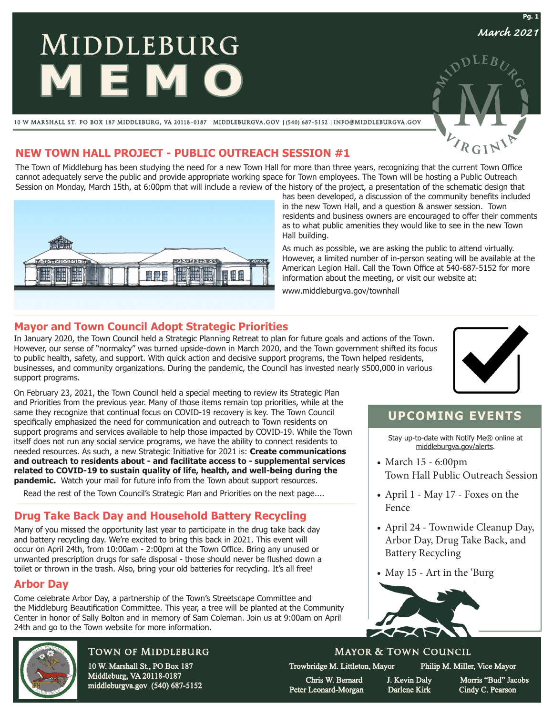# **MIDDLEBURG MEMO**

10 W MARSHALL ST. PO BOX 187 MIDDLEBURG, VA 20118-0187 | MIDDLEBURGVA.GOV | (540) 687-5152 | INFO@MIDDLEBURGVA.GOV

## **NEW TOWN HALL PROJECT - PUBLIC OUTREACH SESSION #1**

The Town of Middleburg has been studying the need for a new Town Hall for more than three years, recognizing that the current Town Office cannot adequately serve the public and provide appropriate working space for Town employees. The Town will be hosting a Public Outreach Session on Monday, March 15th, at 6:00pm that will include a review of the history of the project, a presentation of the schematic design that



has been developed, a discussion of the community benefits included in the new Town Hall, and a question & answer session. Town residents and business owners are encouraged to offer their comments as to what public amenities they would like to see in the new Town Hall building.

As much as possible, we are asking the public to attend virtually. However, a limited number of in-person seating will be available at the American Legion Hall. Call the Town Office at 540-687-5152 for more information about the meeting, or visit our website at:

www.middleburgva.gov/townhall

### **Mayor and Town Council Adopt Strategic Priorities**

On February 23, 2021, the Town Council held a special meeting to review its Strategic Plan and Priorities from the previous year. Many of those items remain top priorities, while at the same they recognize that continual focus on COVID-19 recovery is key. The Town Council specifically emphasized the need for communication and outreach to Town residents on support programs and services available to help those impacted by COVID-19. While the Town itself does not run any social service programs, we have the ability to connect residents to needed resources. As such, a new Strategic Initiative for 2021 is: **Create communications and outreach to residents about - and facilitate access to - supplemental services related to COVID-19 to sustain quality of life, health, and well-being during the pandemic.** Watch your mail for future info from the Town about support resources. Read the rest of the Town Council's Strategic Plan and Priorities on the next page....

In January 2020, the Town Council held a Strategic Planning Retreat to plan for future goals and actions of the Town. However, our sense of "normalcy" was turned upside-down in March 2020, and the Town government shifted its focus to public health, safety, and support. With quick action and decisive support programs, the Town helped residents, businesses, and community organizations. During the pandemic, the Council has invested nearly \$500,000 in various support programs.



# **UPCOMING EVENTS**

Stay up-to-date with Notify Me® online at middleburgva.gov/alerts.

- March 15 6:00pm Town Hall Public Outreach Session
- April 1 May 17 Foxes on the Fence
- April 24 Townwide Cleanup Day, Arbor Day, Drug Take Back, and Battery Recycling
- May 15 Art in the 'Burg



### Mayor & Town Council

Trowbridge M. Littleton, Mayor Philip M. Miller, Vice Mayor

Peter Leonard-Morgan Darlene Kirk Cindy C. Pearson

Chris W. Bernard J. Kevin Daly Morris "Bud" Jacobs

Town of Middleburg 10 W. Marshall St., PO Box 187

**Drug Take Back Day and Household Battery Recycling** Many of you missed the opportunity last year to participate in the drug take back day and battery recycling day. We're excited to bring this back in 2021. This event will occur on April 24th, from 10:00am - 2:00pm at the Town Office. Bring any unused or unwanted prescription drugs for safe disposal - those should never be flushed down a toilet or thrown in the trash. Also, bring your old batteries for recycling. It's all free!

Come celebrate Arbor Day, a partnership of the Town's Streetscape Committee and

the Middleburg Beautification Committee. This year, a tree will be planted at the Community Center in honor of Sally Bolton and in memory of Sam Coleman. Join us at 9:00am on April

> Middleburg, VA 20118-0187 middleburgva.gov (540) 687-5152

24th and go to the Town website for more information.

**Arbor Day**

*March 2021*

**Pg. 1**